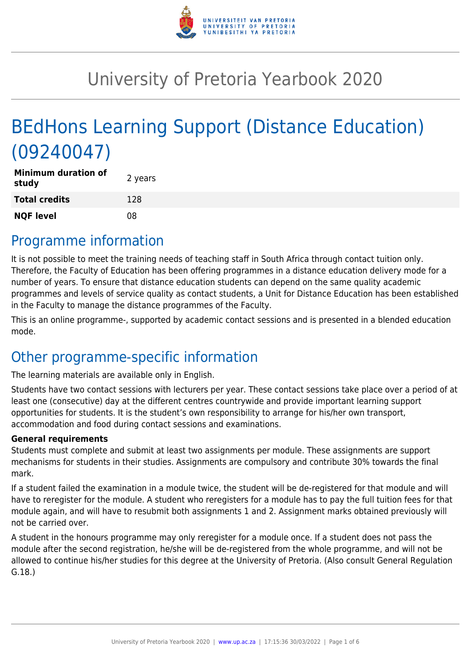

# University of Pretoria Yearbook 2020

# BEdHons Learning Support (Distance Education) (09240047)

| <b>Minimum duration of</b><br>study | 2 years |
|-------------------------------------|---------|
| <b>Total credits</b>                | 128     |
| <b>NQF level</b>                    | 08      |

### Programme information

It is not possible to meet the training needs of teaching staff in South Africa through contact tuition only. Therefore, the Faculty of Education has been offering programmes in a distance education delivery mode for a number of years. To ensure that distance education students can depend on the same quality academic programmes and levels of service quality as contact students, a Unit for Distance Education has been established in the Faculty to manage the distance programmes of the Faculty.

This is an online programme-, supported by academic contact sessions and is presented in a blended education mode.

# Other programme-specific information

The learning materials are available only in English.

Students have two contact sessions with lecturers per year. These contact sessions take place over a period of at least one (consecutive) day at the different centres countrywide and provide important learning support opportunities for students. It is the student's own responsibility to arrange for his/her own transport, accommodation and food during contact sessions and examinations.

#### **General requirements**

Students must complete and submit at least two assignments per module. These assignments are support mechanisms for students in their studies. Assignments are compulsory and contribute 30% towards the final mark.

If a student failed the examination in a module twice, the student will be de-registered for that module and will have to reregister for the module. A student who reregisters for a module has to pay the full tuition fees for that module again, and will have to resubmit both assignments 1 and 2. Assignment marks obtained previously will not be carried over.

A student in the honours programme may only reregister for a module once. If a student does not pass the module after the second registration, he/she will be de-registered from the whole programme, and will not be allowed to continue his/her studies for this degree at the University of Pretoria. (Also consult General Regulation G.18.)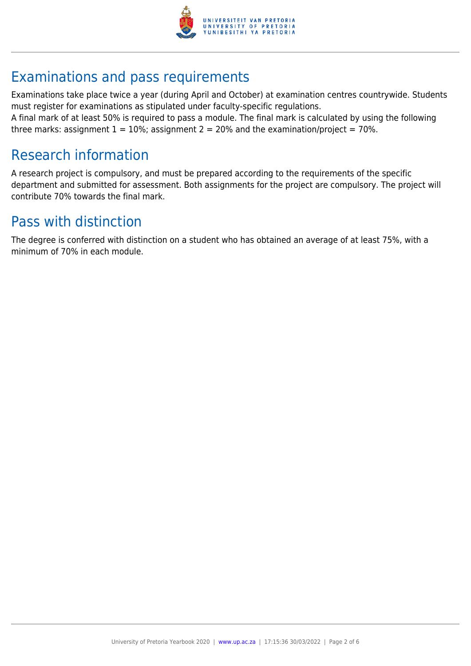

# Examinations and pass requirements

Examinations take place twice a year (during April and October) at examination centres countrywide. Students must register for examinations as stipulated under faculty-specific regulations.

A final mark of at least 50% is required to pass a module. The final mark is calculated by using the following three marks: assignment  $1 = 10\%$ ; assignment  $2 = 20\%$  and the examination/project = 70%.

### Research information

A research project is compulsory, and must be prepared according to the requirements of the specific department and submitted for assessment. Both assignments for the project are compulsory. The project will contribute 70% towards the final mark.

### Pass with distinction

The degree is conferred with distinction on a student who has obtained an average of at least 75%, with a minimum of 70% in each module.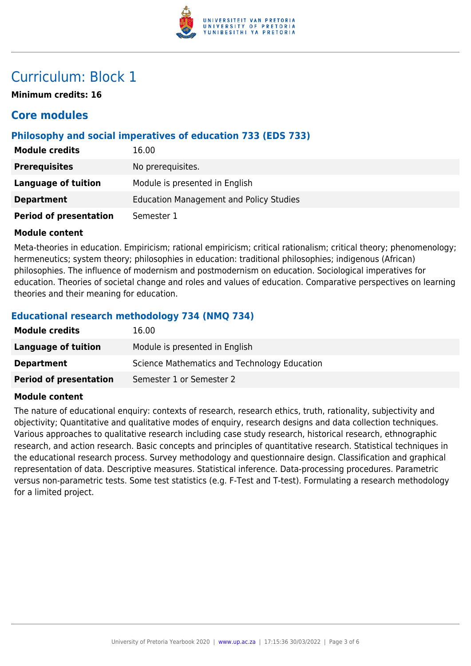

**Minimum credits: 16**

### **Core modules**

#### **Philosophy and social imperatives of education 733 (EDS 733)**

| <b>Module credits</b>         | 16.00                                          |
|-------------------------------|------------------------------------------------|
| <b>Prerequisites</b>          | No prerequisites.                              |
| Language of tuition           | Module is presented in English                 |
| <b>Department</b>             | <b>Education Management and Policy Studies</b> |
| <b>Period of presentation</b> | Semester 1                                     |

#### **Module content**

Meta-theories in education. Empiricism; rational empiricism; critical rationalism; critical theory; phenomenology; hermeneutics; system theory; philosophies in education: traditional philosophies; indigenous (African) philosophies. The influence of modernism and postmodernism on education. Sociological imperatives for education. Theories of societal change and roles and values of education. Comparative perspectives on learning theories and their meaning for education.

#### **Educational research methodology 734 (NMQ 734)**

| <b>Module credits</b>         | 16.00                                        |
|-------------------------------|----------------------------------------------|
| <b>Language of tuition</b>    | Module is presented in English               |
| <b>Department</b>             | Science Mathematics and Technology Education |
| <b>Period of presentation</b> | Semester 1 or Semester 2                     |

#### **Module content**

The nature of educational enquiry: contexts of research, research ethics, truth, rationality, subjectivity and objectivity; Quantitative and qualitative modes of enquiry, research designs and data collection techniques. Various approaches to qualitative research including case study research, historical research, ethnographic research, and action research. Basic concepts and principles of quantitative research. Statistical techniques in the educational research process. Survey methodology and questionnaire design. Classification and graphical representation of data. Descriptive measures. Statistical inference. Data-processing procedures. Parametric versus non-parametric tests. Some test statistics (e.g. F-Test and T-test). Formulating a research methodology for a limited project.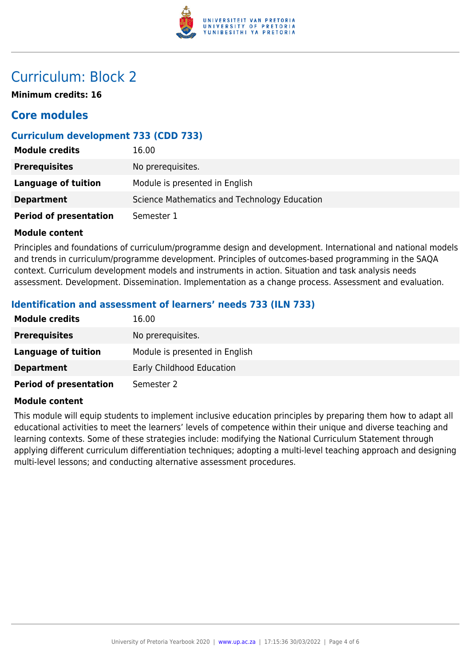

**Minimum credits: 16**

### **Core modules**

#### **Curriculum development 733 (CDD 733)**

| <b>Module credits</b>         | 16.00                                        |
|-------------------------------|----------------------------------------------|
| <b>Prerequisites</b>          | No prerequisites.                            |
| Language of tuition           | Module is presented in English               |
| <b>Department</b>             | Science Mathematics and Technology Education |
| <b>Period of presentation</b> | Semester 1                                   |

#### **Module content**

Principles and foundations of curriculum/programme design and development. International and national models and trends in curriculum/programme development. Principles of outcomes-based programming in the SAQA context. Curriculum development models and instruments in action. Situation and task analysis needs assessment. Development. Dissemination. Implementation as a change process. Assessment and evaluation.

#### **Identification and assessment of learners' needs 733 (ILN 733)**

| <b>Module credits</b>         | 16.00                            |
|-------------------------------|----------------------------------|
| <b>Prerequisites</b>          | No prerequisites.                |
| Language of tuition           | Module is presented in English   |
| <b>Department</b>             | <b>Early Childhood Education</b> |
| <b>Period of presentation</b> | Semester 2                       |

#### **Module content**

This module will equip students to implement inclusive education principles by preparing them how to adapt all educational activities to meet the learners' levels of competence within their unique and diverse teaching and learning contexts. Some of these strategies include: modifying the National Curriculum Statement through applying different curriculum differentiation techniques; adopting a multi-level teaching approach and designing multi-level lessons; and conducting alternative assessment procedures.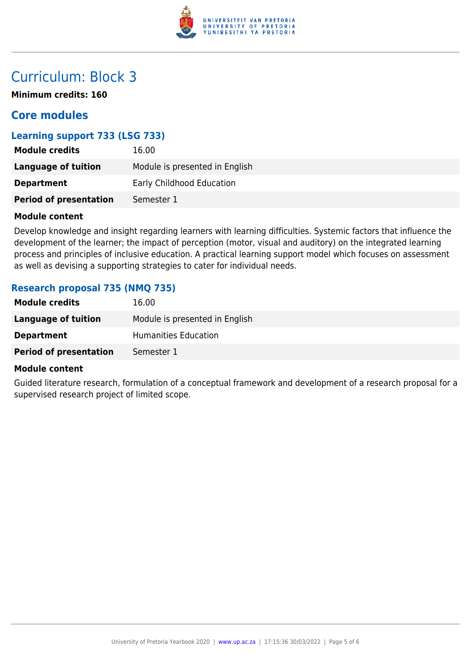

**Minimum credits: 160**

### **Core modules**

#### **Learning support 733 (LSG 733)**

| <b>Module credits</b>         | 16.00                          |
|-------------------------------|--------------------------------|
| Language of tuition           | Module is presented in English |
| <b>Department</b>             | Early Childhood Education      |
| <b>Period of presentation</b> | Semester 1                     |

#### **Module content**

Develop knowledge and insight regarding learners with learning difficulties. Systemic factors that influence the development of the learner; the impact of perception (motor, visual and auditory) on the integrated learning process and principles of inclusive education. A practical learning support model which focuses on assessment as well as devising a supporting strategies to cater for individual needs.

#### **Research proposal 735 (NMQ 735)**

| <b>Module credits</b>         | 16.00                          |
|-------------------------------|--------------------------------|
| <b>Language of tuition</b>    | Module is presented in English |
| <b>Department</b>             | Humanities Education           |
| <b>Period of presentation</b> | Semester 1                     |

#### **Module content**

Guided literature research, formulation of a conceptual framework and development of a research proposal for a supervised research project of limited scope.